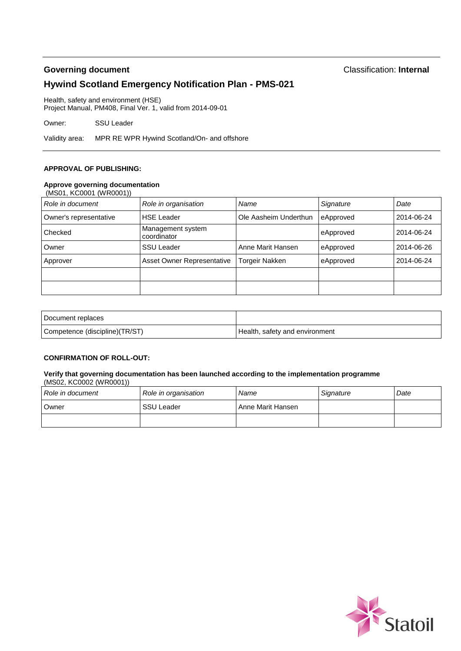# **Governing document** Classification: **Internal Hywind Scotland Emergency Notification Plan - PMS-021**

Health, safety and environment (HSE) Project Manual, PM408, Final Ver. 1, valid from 2014-09-01

Owner: SSU Leader

Validity area: MPR RE WPR Hywind Scotland/On- and offshore

#### **APPROVAL OF PUBLISHING:**

#### **Approve governing documentation**

| (MS01, KC0001 (WR0001)) |                                  |                       |           |            |
|-------------------------|----------------------------------|-----------------------|-----------|------------|
| Role in document        | Role in organisation             | Name                  | Signature | Date       |
| Owner's representative  | <b>HSE Leader</b>                | Ole Aasheim Underthun | eApproved | 2014-06-24 |
| Checked                 | Management system<br>coordinator |                       | eApproved | 2014-06-24 |
| Owner                   | <b>SSU Leader</b>                | Anne Marit Hansen     | eApproved | 2014-06-26 |
| Approver                | Asset Owner Representative       | <b>Torgeir Nakken</b> | eApproved | 2014-06-24 |
|                         |                                  |                       |           |            |
|                         |                                  |                       |           |            |

| Document replaces              |                                |
|--------------------------------|--------------------------------|
| Competence (discipline)(TR/ST) | Health, safety and environment |

#### **CONFIRMATION OF ROLL-OUT:**

#### **Verify that governing documentation has been launched according to the implementation programme** (MS02, KC0002 (WR0001))

| Role in document | Role in organisation | Name              | Signature | Date |
|------------------|----------------------|-------------------|-----------|------|
| Owner            | <b>SSU Leader</b>    | Anne Marit Hansen |           |      |
|                  |                      |                   |           |      |

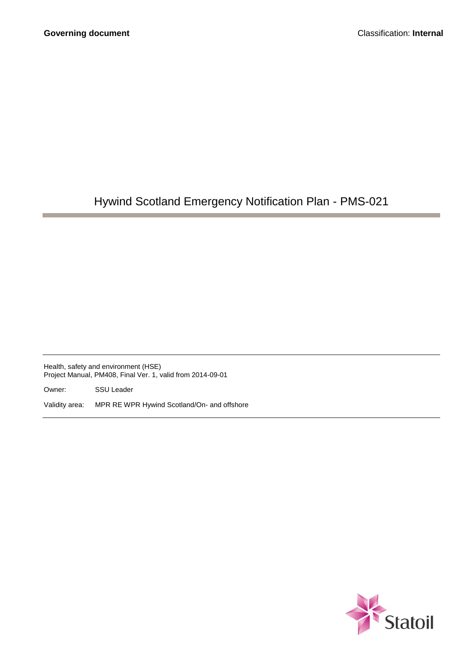# Hywind Scotland Emergency Notification Plan - PMS-021

Health, safety and environment (HSE) Project Manual, PM408, Final Ver. 1, valid from 2014-09-01

Owner: SSU Leader

Validity area: MPR RE WPR Hywind Scotland/On- and offshore

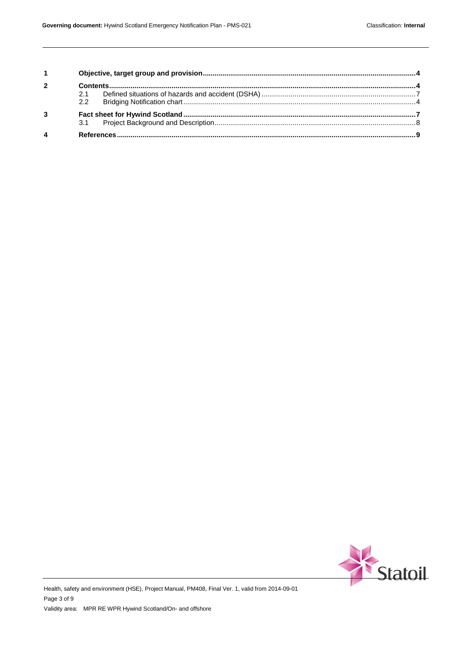| $1 \quad \blacksquare$  |     |  |  |
|-------------------------|-----|--|--|
| $\overline{2}$          |     |  |  |
|                         | 2.1 |  |  |
|                         | 22  |  |  |
| $\mathbf{3}$            |     |  |  |
|                         |     |  |  |
| $\overline{\mathbf{4}}$ |     |  |  |



Health, safety and environment (HSE), Project Manual, PM408, Final Ver. 1, valid from 2014-09-01 Page 3 of 9 Validity area: MPR RE WPR Hywind Scotland/On- and offshore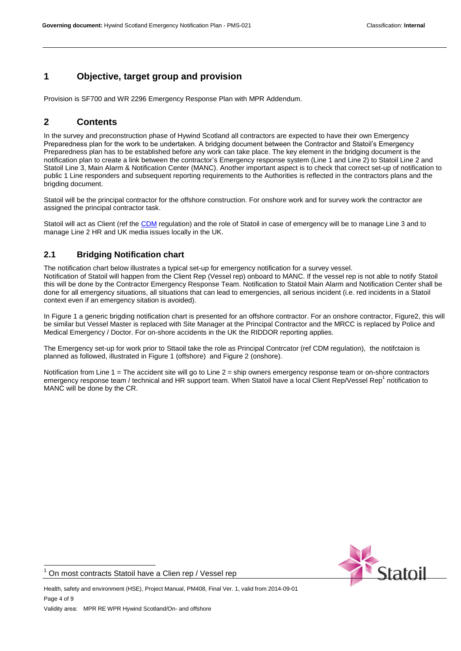# <span id="page-3-0"></span>**1 Objective, target group and provision**

<span id="page-3-1"></span>Provision is SF700 and WR 2296 Emergency Response Plan with MPR Addendum.

# **2 Contents**

In the survey and preconstruction phase of Hywind Scotland all contractors are expected to have their own Emergency Preparedness plan for the work to be undertaken. A bridging document between the Contractor and Statoil's Emergency Preparedness plan has to be established before any work can take place. The key element in the bridging document is the notification plan to create a link between the contractor's Emergency response system (Line 1 and Line 2) to Statoil Line 2 and Statoil Line 3, Main Alarm & Notification Center (MANC). Another important aspect is to check that correct set-up of notification to public 1 Line responders and subsequent reporting requirements to the Authorities is reflected in the contractors plans and the brigding document.

Statoil will be the principal contractor for the offshore construction. For onshore work and for survey work the contractor are assigned the principal contractor task.

Statoil will act as Client (ref the [CDM](http://www.hse.gov.uk/construction/cdm.htm) regulation) and the role of Statoil in case of emergency will be to manage Line 3 and to manage Line 2 HR and UK media issues locally in the UK.

# <span id="page-3-2"></span>**2.1 Bridging Notification chart**

The notification chart below illustrates a typical set-up for emergency notification for a survey vessel. Notification of Statoil will happen from the Client Rep (Vessel rep) onboard to MANC. If the vessel rep is not able to notify Statoil this will be done by the Contractor Emergency Response Team. Notification to Statoil Main Alarm and Notification Center shall be done for all emergency situations, all situations that can lead to emergencies, all serious incident (i.e. red incidents in a Statoil context even if an emergency sitation is avoided).

In Figure 1 a generic brigding notification chart is presented for an offshore contractor. For an onshore contractor, Figure2, this will be similar but Vessel Master is replaced with Site Manager at the Principal Contractor and the MRCC is replaced by Police and Medical Emergency / Doctor. For on-shore accidents in the UK the RIDDOR reporting applies.

The Emergency set-up for work prior to Sttaoil take the role as Principal Contrcator (ref CDM regulation), the notifctaion is planned as followed, illustrated in Figure 1 (offshore) and Figure 2 (onshore).

Notification from Line 1 = The accident site will go to Line 2 = ship owners emergency response team or on-shore contractors emergency response team / technical and HR support team. When Statoil have a local Client Rep/Vessel Rep<sup>1</sup> notification to MANC will be done by the CR.



Health, safety and environment (HSE), Project Manual, PM408, Final Ver. 1, valid from 2014-09-01

Page 4 of 9

 $\overline{1}$ 

On most contracts Statoil have a Clien rep / Vessel rep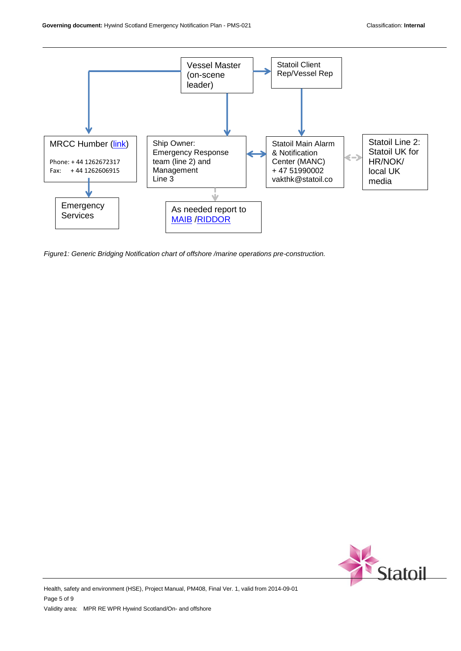

*Figure1: Generic Bridging Notification chart of offshore /marine operations pre-construction.*



Health, safety and environment (HSE), Project Manual, PM408, Final Ver. 1, valid from 2014-09-01 Page 5 of 9 Validity area: MPR RE WPR Hywind Scotland/On- and offshore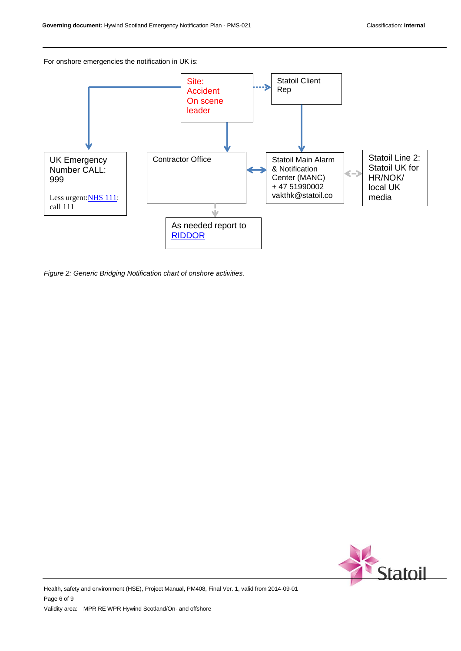For onshore emergencies the notification in UK is:



*Figure 2: Generic Bridging Notification chart of onshore activities.*



Health, safety and environment (HSE), Project Manual, PM408, Final Ver. 1, valid from 2014-09-01 Page 6 of 9 Validity area: MPR RE WPR Hywind Scotland/On- and offshore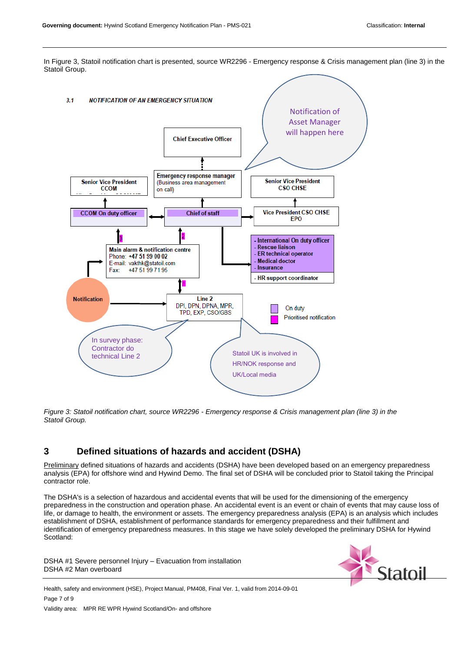In Figure 3, Statoil notification chart is presented, source WR2296 - Emergency response & Crisis management plan (line 3) in the Statoil Group.



*Figure 3: Statoil notification chart, source WR2296 - Emergency response & Crisis management plan (line 3) in the Statoil Group.* 

# <span id="page-6-0"></span>**3 Defined situations of hazards and accident (DSHA)**

Preliminary defined situations of hazards and accidents (DSHA) have been developed based on an emergency preparedness analysis (EPA) for offshore wind and Hywind Demo. The final set of DSHA will be concluded prior to Statoil taking the Principal contractor role.

The DSHA's is a selection of hazardous and accidental events that will be used for the dimensioning of the emergency preparedness in the construction and operation phase. An accidental event is an event or chain of events that may cause loss of life, or damage to health, the environment or assets. The emergency preparedness analysis (EPA) is an analysis which includes establishment of DSHA, establishment of performance standards for emergency preparedness and their fulfillment and identification of emergency preparedness measures. In this stage we have solely developed the preliminary DSHA for Hywind Scotland:

DSHA #1 Severe personnel Injury – Evacuation from installation DSHA #2 Man overboard



Health, safety and environment (HSE), Project Manual, PM408, Final Ver. 1, valid from 2014-09-01 Page 7 of 9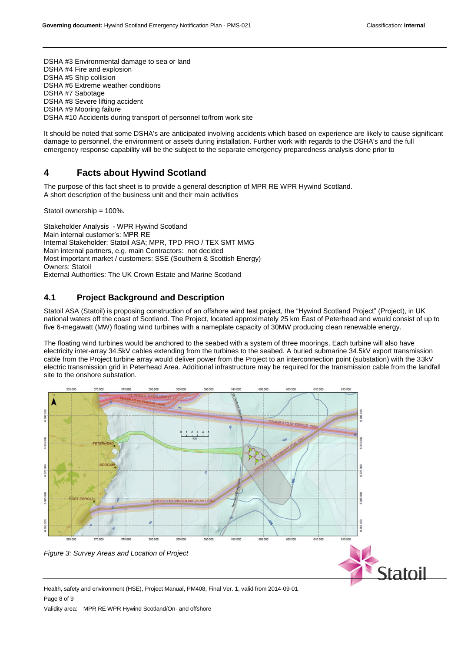DSHA #3 Environmental damage to sea or land DSHA #4 Fire and explosion DSHA #5 Ship collision DSHA #6 Extreme weather conditions DSHA #7 Sabotage DSHA #8 Severe lifting accident DSHA #9 Mooring failure DSHA #10 Accidents during transport of personnel to/from work site

It should be noted that some DSHA's are anticipated involving accidents which based on experience are likely to cause significant damage to personnel, the environment or assets during installation. Further work with regards to the DSHA's and the full emergency response capability will be the subject to the separate emergency preparedness analysis done prior to

## **4 Facts about Hywind Scotland**

The purpose of this fact sheet is to provide a general description of MPR RE WPR Hywind Scotland. A short description of the business unit and their main activities

Statoil ownership = 100%.

Stakeholder Analysis - WPR Hywind Scotland Main internal customer's: MPR RE Internal Stakeholder: Statoil ASA; MPR, TPD PRO / TEX SMT MMG Main internal partners, e.g. main Contractors: not decided Most important market / customers: SSE (Southern & Scottish Energy) Owners: Statoil External Authorities: The UK Crown Estate and Marine Scotland

## <span id="page-7-0"></span>**4.1 Project Background and Description**

Statoil ASA (Statoil) is proposing construction of an offshore wind test project, the "Hywind Scotland Project" (Project), in UK national waters off the coast of Scotland. The Project, located approximately 25 km East of Peterhead and would consist of up to five 6-megawatt (MW) floating wind turbines with a nameplate capacity of 30MW producing clean renewable energy.

The floating wind turbines would be anchored to the seabed with a system of three moorings. Each turbine will also have electricity inter-array 34.5kV cables extending from the turbines to the seabed. A buried submarine 34.5kV export transmission cable from the Project turbine array would deliver power from the Project to an interconnection point (substation) with the 33kV electric transmission grid in Peterhead Area. Additional infrastructure may be required for the transmission cable from the landfall site to the onshore substation.



Health, safety and environment (HSE), Project Manual, PM408, Final Ver. 1, valid from 2014-09-01 Page 8 of 9